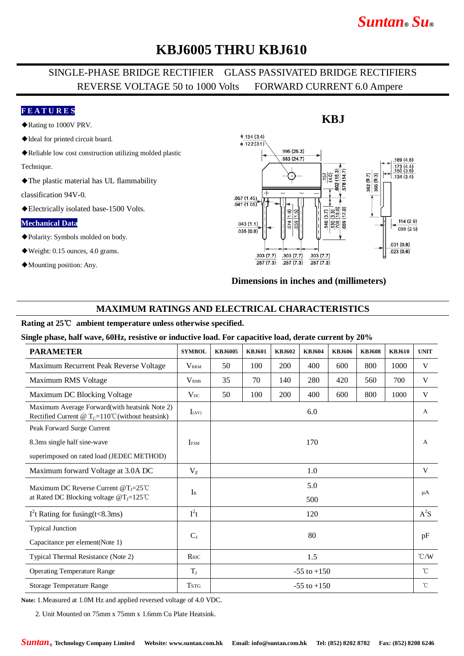# *Suntan***®** *Su***®**

## **KBJ6005 THRU KBJ610**

### SINGLE-PHASE BRIDGE RECTIFIER GLASS PASSIVATED BRIDGE RECTIFIERS REVERSE VOLTAGE 50 to 1000 Volts FORWARD CURRENT 6.0 Ampere

#### **F E A T U R E S**

- ◆Rating to 1000V PRV.
- ◆Ideal for printed circuit board.
- ◆Reliable low cost construction utilizing molded plastic

Technique.

◆The plastic material has UL flammability

classification 94V-0.

◆Electrically isolated base-1500 Volts.

#### **Mechanical Data**

- ◆Polarity: Symbols molded on body.
- ◆Weight: 0.15 ounces, 4.0 grams.
- ◆Mounting position: Any.



#### **Dimensions in inches and (millimeters)**

#### **MAXIMUM RATINGS AND ELECTRICAL CHARACTERISTICS**

#### **Rating at 25**℃ **ambient temperature unless otherwise specified.**

**Single phase, half wave, 60Hz, resistive or inductive load. For capacitive load, derate current by 20%**

| <b>PARAMETER</b>                                                                                              | <b>SYMBOL</b>                        | <b>KBJ6005</b>  | <b>KBJ601</b> | <b>KBJ602</b> | <b>KBJ604</b> | <b>KBJ606</b> | <b>KBJ608</b> | <b>KBJ610</b> | <b>UNIT</b>   |
|---------------------------------------------------------------------------------------------------------------|--------------------------------------|-----------------|---------------|---------------|---------------|---------------|---------------|---------------|---------------|
| Maximum Recurrent Peak Reverse Voltage                                                                        | <b>VRRM</b>                          | 50              | 100           | 200           | 400           | 600           | 800           | 1000          | V             |
| Maximum RMS Voltage                                                                                           | <b>V</b> <sub>RMS</sub>              | 35              | 70            | 140           | 280           | 420           | 560           | 700           | V             |
| Maximum DC Blocking Voltage                                                                                   | $V_{DC}$                             | 50              | 100           | 200           | 400           | 600           | 800           | 1000          | V             |
| Maximum Average Forward(with heatsink Note 2)<br>Rectified Current @ $T_c = 110^{\circ}$ C (without heatsink) | $I_{(AV)}$                           | 6.0             |               |               |               |               |               |               | $\mathbf{A}$  |
| Peak Forward Surge Current                                                                                    |                                      |                 |               |               |               |               |               |               | A             |
| 8.3ms single half sine-wave                                                                                   | 170<br><b>IFSM</b>                   |                 |               |               |               |               |               |               |               |
| superimposed on rated load (JEDEC METHOD)                                                                     |                                      |                 |               |               |               |               |               |               |               |
| Maximum forward Voltage at 3.0A DC                                                                            | $V_{\rm F}$                          | 1.0             |               |               |               |               |               |               | V             |
| Maximum DC Reverse Current $@T_J=25^{\circ}$ C                                                                | $I_{R}$                              | 5.0<br>500      |               |               |               |               |               |               | $\mu A$       |
| at Rated DC Blocking voltage $@T_J=125^{\circ}C$                                                              |                                      |                 |               |               |               |               |               |               |               |
| $I2t$ Rating for fusing(t<8.3ms)                                                                              | $I^2t$                               | 120             |               |               |               |               |               |               | $A^2S$        |
| <b>Typical Junction</b>                                                                                       |                                      | 80              |               |               |               |               |               |               | pF            |
| Capacitance per element(Note 1)                                                                               | $C_{J}$                              |                 |               |               |               |               |               |               |               |
| Typical Thermal Resistance (Note 2)                                                                           | $R$ <sup><math>\theta</math>JC</sup> | 1.5             |               |               |               |               |               |               | $\degree$ C/W |
| <b>Operating Temperature Range</b>                                                                            | $T_{\rm J}$                          | $-55$ to $+150$ |               |               |               |               |               |               | $^{\circ}$ C  |
| Storage Temperature Range                                                                                     | <b>TSTG</b>                          | $-55$ to $+150$ |               |               |               |               |               |               | $^{\circ}$ C  |

**Note:** 1.Measured at 1.0M Hz and applied reversed voltage of 4.0 VDC.

2. Unit Mounted on 75mm x 75mm x 1.6mm Cu Plate Heatsink.